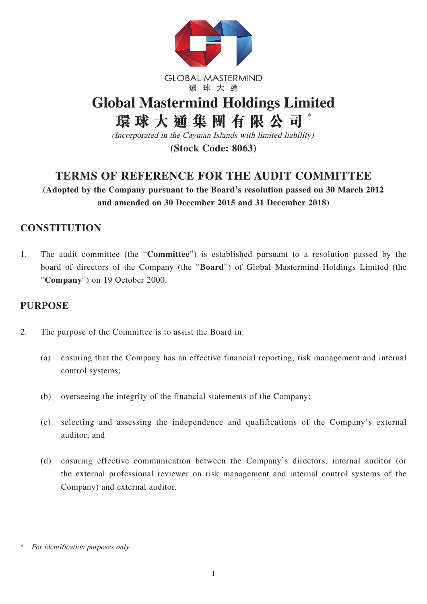

**GLOBAL MASTERMIND** 環球大通

# **Global Mastermind Holdings Limited 環球大通集團有限公司** \*

(Incorporated in the Cayman Islands with limited liability)

**(Stock Code: 8063)**

## **TERMS OF REFERENCE FOR THE AUDIT COMMITTEE**

**(Adopted by the Company pursuant to the Board's resolution passed on 30 March 2012 and amended on 30 December 2015 and 31 December 2018)** 

## **CONSTITUTION**

1. The audit committee (the "**Committee**") is established pursuant to a resolution passed by the board of directors of the Company (the "**Board**") of Global Mastermind Holdings Limited (the "**Company**") on 19 October 2000.

#### **PURPOSE**

- 2. The purpose of the Committee is to assist the Board in:
	- (a) ensuring that the Company has an effective financial reporting, risk management and internal control systems;
	- (b) overseeing the integrity of the financial statements of the Company;
	- (c) selecting and assessing the independence and qualifications of the Company's external auditor; and
	- (d) ensuring effective communication between the Company's directors, internal auditor (or the external professional reviewer on risk management and internal control systems of the Company) and external auditor.

For identification purposes only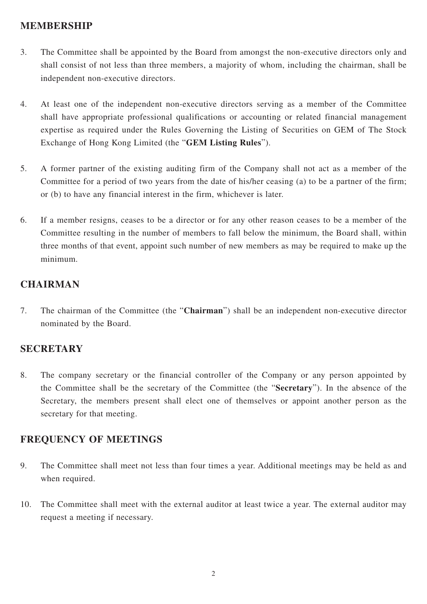#### **MEMBERSHIP**

- 3. The Committee shall be appointed by the Board from amongst the non-executive directors only and shall consist of not less than three members, a majority of whom, including the chairman, shall be independent non-executive directors.
- 4. At least one of the independent non-executive directors serving as a member of the Committee shall have appropriate professional qualifications or accounting or related financial management expertise as required under the Rules Governing the Listing of Securities on GEM of The Stock Exchange of Hong Kong Limited (the "**GEM Listing Rules**").
- 5. A former partner of the existing auditing firm of the Company shall not act as a member of the Committee for a period of two years from the date of his/her ceasing (a) to be a partner of the firm; or (b) to have any financial interest in the firm, whichever is later.
- 6. If a member resigns, ceases to be a director or for any other reason ceases to be a member of the Committee resulting in the number of members to fall below the minimum, the Board shall, within three months of that event, appoint such number of new members as may be required to make up the minimum.

#### **CHAIRMAN**

7. The chairman of the Committee (the "**Chairman**") shall be an independent non-executive director nominated by the Board.

### **SECRETARY**

8. The company secretary or the financial controller of the Company or any person appointed by the Committee shall be the secretary of the Committee (the "**Secretary**"). In the absence of the Secretary, the members present shall elect one of themselves or appoint another person as the secretary for that meeting.

#### **FREQUENCY OF MEETINGS**

- 9. The Committee shall meet not less than four times a year. Additional meetings may be held as and when required.
- 10. The Committee shall meet with the external auditor at least twice a year. The external auditor may request a meeting if necessary.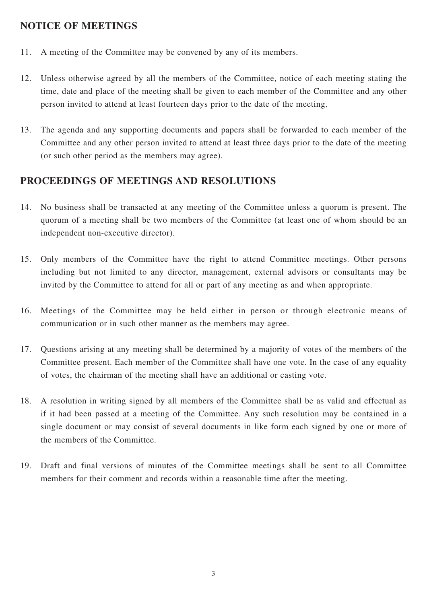#### **NOTICE OF MEETINGS**

- 11. A meeting of the Committee may be convened by any of its members.
- 12. Unless otherwise agreed by all the members of the Committee, notice of each meeting stating the time, date and place of the meeting shall be given to each member of the Committee and any other person invited to attend at least fourteen days prior to the date of the meeting.
- 13. The agenda and any supporting documents and papers shall be forwarded to each member of the Committee and any other person invited to attend at least three days prior to the date of the meeting (or such other period as the members may agree).

#### **PROCEEDINGS OF MEETINGS AND RESOLUTIONS**

- 14. No business shall be transacted at any meeting of the Committee unless a quorum is present. The quorum of a meeting shall be two members of the Committee (at least one of whom should be an independent non-executive director).
- 15. Only members of the Committee have the right to attend Committee meetings. Other persons including but not limited to any director, management, external advisors or consultants may be invited by the Committee to attend for all or part of any meeting as and when appropriate.
- 16. Meetings of the Committee may be held either in person or through electronic means of communication or in such other manner as the members may agree.
- 17. Questions arising at any meeting shall be determined by a majority of votes of the members of the Committee present. Each member of the Committee shall have one vote. In the case of any equality of votes, the chairman of the meeting shall have an additional or casting vote.
- 18. A resolution in writing signed by all members of the Committee shall be as valid and effectual as if it had been passed at a meeting of the Committee. Any such resolution may be contained in a single document or may consist of several documents in like form each signed by one or more of the members of the Committee.
- 19. Draft and final versions of minutes of the Committee meetings shall be sent to all Committee members for their comment and records within a reasonable time after the meeting.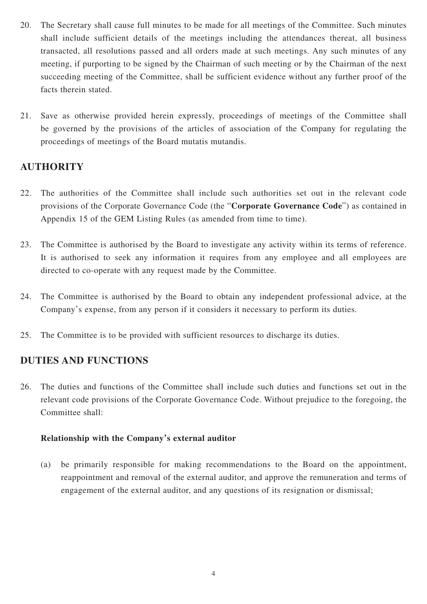- 20. The Secretary shall cause full minutes to be made for all meetings of the Committee. Such minutes shall include sufficient details of the meetings including the attendances thereat, all business transacted, all resolutions passed and all orders made at such meetings. Any such minutes of any meeting, if purporting to be signed by the Chairman of such meeting or by the Chairman of the next succeeding meeting of the Committee, shall be sufficient evidence without any further proof of the facts therein stated.
- 21. Save as otherwise provided herein expressly, proceedings of meetings of the Committee shall be governed by the provisions of the articles of association of the Company for regulating the proceedings of meetings of the Board mutatis mutandis.

#### **AUTHORITY**

- 22. The authorities of the Committee shall include such authorities set out in the relevant code provisions of the Corporate Governance Code (the "**Corporate Governance Code**") as contained in Appendix 15 of the GEM Listing Rules (as amended from time to time).
- 23. The Committee is authorised by the Board to investigate any activity within its terms of reference. It is authorised to seek any information it requires from any employee and all employees are directed to co-operate with any request made by the Committee.
- 24. The Committee is authorised by the Board to obtain any independent professional advice, at the Company's expense, from any person if it considers it necessary to perform its duties.
- 25. The Committee is to be provided with sufficient resources to discharge its duties.

#### **DUTIES AND FUNCTIONS**

26. The duties and functions of the Committee shall include such duties and functions set out in the relevant code provisions of the Corporate Governance Code. Without prejudice to the foregoing, the Committee shall:

#### **Relationship with the Company's external auditor**

(a) be primarily responsible for making recommendations to the Board on the appointment, reappointment and removal of the external auditor, and approve the remuneration and terms of engagement of the external auditor, and any questions of its resignation or dismissal;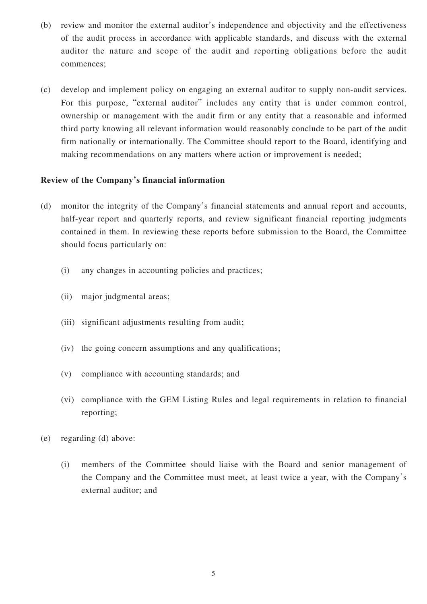- (b) review and monitor the external auditor's independence and objectivity and the effectiveness of the audit process in accordance with applicable standards, and discuss with the external auditor the nature and scope of the audit and reporting obligations before the audit commences;
- (c) develop and implement policy on engaging an external auditor to supply non-audit services. For this purpose, "external auditor" includes any entity that is under common control, ownership or management with the audit firm or any entity that a reasonable and informed third party knowing all relevant information would reasonably conclude to be part of the audit firm nationally or internationally. The Committee should report to the Board, identifying and making recommendations on any matters where action or improvement is needed;

#### **Review of the Company's financial information**

- (d) monitor the integrity of the Company's financial statements and annual report and accounts, half-year report and quarterly reports, and review significant financial reporting judgments contained in them. In reviewing these reports before submission to the Board, the Committee should focus particularly on:
	- (i) any changes in accounting policies and practices;
	- (ii) major judgmental areas;
	- (iii) significant adjustments resulting from audit;
	- (iv) the going concern assumptions and any qualifications;
	- (v) compliance with accounting standards; and
	- (vi) compliance with the GEM Listing Rules and legal requirements in relation to financial reporting;
- (e) regarding (d) above:
	- (i) members of the Committee should liaise with the Board and senior management of the Company and the Committee must meet, at least twice a year, with the Company's external auditor; and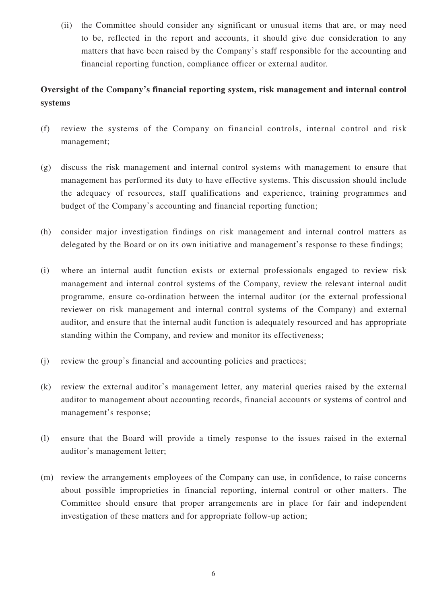(ii) the Committee should consider any significant or unusual items that are, or may need to be, reflected in the report and accounts, it should give due consideration to any matters that have been raised by the Company's staff responsible for the accounting and financial reporting function, compliance officer or external auditor.

#### **Oversight of the Company's financial reporting system, risk management and internal control systems**

- (f) review the systems of the Company on financial controls, internal control and risk management;
- (g) discuss the risk management and internal control systems with management to ensure that management has performed its duty to have effective systems. This discussion should include the adequacy of resources, staff qualifications and experience, training programmes and budget of the Company's accounting and financial reporting function;
- (h) consider major investigation findings on risk management and internal control matters as delegated by the Board or on its own initiative and management's response to these findings;
- (i) where an internal audit function exists or external professionals engaged to review risk management and internal control systems of the Company, review the relevant internal audit programme, ensure co-ordination between the internal auditor (or the external professional reviewer on risk management and internal control systems of the Company) and external auditor, and ensure that the internal audit function is adequately resourced and has appropriate standing within the Company, and review and monitor its effectiveness;
- (j) review the group's financial and accounting policies and practices;
- (k) review the external auditor's management letter, any material queries raised by the external auditor to management about accounting records, financial accounts or systems of control and management's response;
- (l) ensure that the Board will provide a timely response to the issues raised in the external auditor's management letter;
- (m) review the arrangements employees of the Company can use, in confidence, to raise concerns about possible improprieties in financial reporting, internal control or other matters. The Committee should ensure that proper arrangements are in place for fair and independent investigation of these matters and for appropriate follow-up action;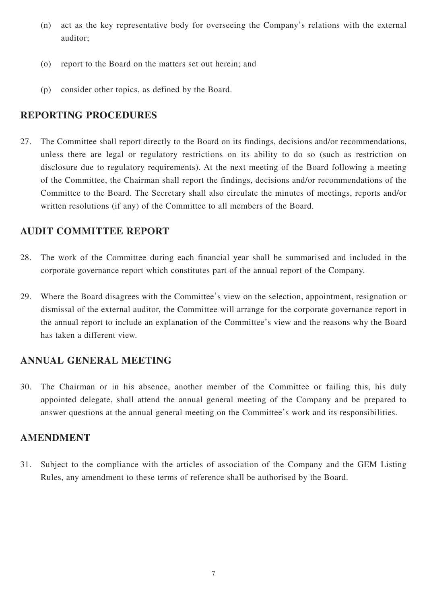- (n) act as the key representative body for overseeing the Company's relations with the external auditor;
- (o) report to the Board on the matters set out herein; and
- (p) consider other topics, as defined by the Board.

#### **REPORTING PROCEDURES**

27. The Committee shall report directly to the Board on its findings, decisions and/or recommendations, unless there are legal or regulatory restrictions on its ability to do so (such as restriction on disclosure due to regulatory requirements). At the next meeting of the Board following a meeting of the Committee, the Chairman shall report the findings, decisions and/or recommendations of the Committee to the Board. The Secretary shall also circulate the minutes of meetings, reports and/or written resolutions (if any) of the Committee to all members of the Board.

#### **AUDIT COMMITTEE REPORT**

- 28. The work of the Committee during each financial year shall be summarised and included in the corporate governance report which constitutes part of the annual report of the Company.
- 29. Where the Board disagrees with the Committee's view on the selection, appointment, resignation or dismissal of the external auditor, the Committee will arrange for the corporate governance report in the annual report to include an explanation of the Committee's view and the reasons why the Board has taken a different view.

### **ANNUAL GENERAL MEETING**

30. The Chairman or in his absence, another member of the Committee or failing this, his duly appointed delegate, shall attend the annual general meeting of the Company and be prepared to answer questions at the annual general meeting on the Committee's work and its responsibilities.

#### **AMENDMENT**

31. Subject to the compliance with the articles of association of the Company and the GEM Listing Rules, any amendment to these terms of reference shall be authorised by the Board.